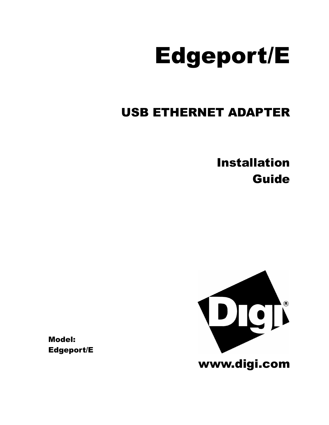# Edgeport/E

# USB ETHERNET ADAPTER

Installation Guide



Model: Edgeport/E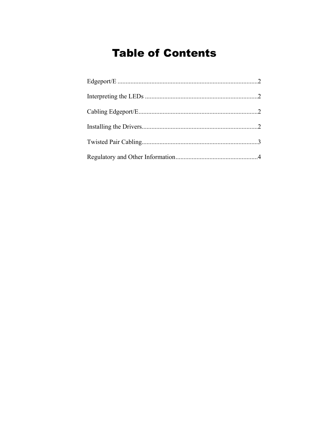# **Table of Contents**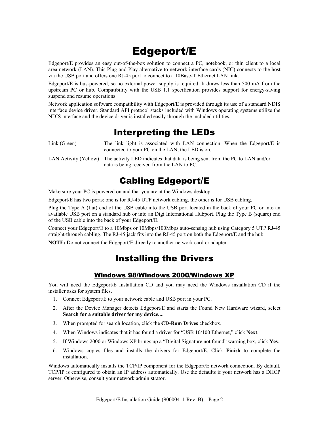# Edgeport/E

Edgeport/E provides an easy out-of-the-box solution to connect a PC, notebook, or thin client to a local area network (LAN). This Plug-and-Play alternative to network interface cards (NIC) connects to the host via the USB port and offers one RJ-45 port to connect to a 10Base-T Ethernet LAN link.

Edgeport/E is bus-powered, so no external power supply is required. It draws less than 500 mA from the upstream PC or hub. Compatibility with the USB 1.1 specification provides support for energy-saving suspend and resume operations.

Network application software compatibility with Edgeport/E is provided through its use of a standard NDIS interface device driver. Standard API protocol stacks included with Windows operating systems utilize the NDIS interface and the device driver is installed easily through the included utilities.

### Interpreting the LEDs

Link (Green) The link light is associated with LAN connection. When the Edgeport/E is connected to your PC on the LAN, the LED is on.

LAN Activity (Yellow) The activity LED indicates that data is being sent from the PC to LAN and/or data is being received from the LAN to PC.

### Cabling Edgeport/E

Make sure your PC is powered on and that you are at the Windows desktop.

Edgeport/E has two ports: one is for RJ-45 UTP network cabling, the other is for USB cabling.

Plug the Type A (flat) end of the USB cable into the USB port located in the back of your PC or into an available USB port on a standard hub or into an Digi International Hubport. Plug the Type B (square) end of the USB cable into the back of your Edgeport/E.

Connect your Edgeport/E to a 10Mbps or 10Mbps/100Mbps auto-sensing hub using Category 5 UTP RJ-45 straight-through cabling. The RJ-45 jack fits into the RJ-45 port on both the Edgeport/E and the hub.

**NOTE:** Do not connect the Edgeport/E directly to another network card or adapter.

### Installing the Drivers

#### Windows 98/Windows 2000/Windows XP

You will need the Edgeport/E Installation CD and you may need the Windows installation CD if the installer asks for system files.

- 1. Connect Edgeport/E to your network cable and USB port in your PC.
- 2. After the Device Manager detects Edgeport/E and starts the Found New Hardware wizard, select **Search for a suitable driver for my device...**.
- 3. When prompted for search location, click the **CD-Rom Drives** checkbox.
- 4. When Windows indicates that it has found a driver for "USB 10/100 Ethernet," click **Next**.
- 5. If Windows 2000 or Windows XP brings up a "Digital Signature not found" warning box, click **Yes**.
- 6. Windows copies files and installs the drivers for Edgeport/E. Click **Finish** to complete the installation.

Windows automatically installs the TCP/IP component for the Edgeport/E network connection. By default, TCP/IP is configured to obtain an IP address automatically. Use the defaults if your network has a DHCP server. Otherwise, consult your network administrator.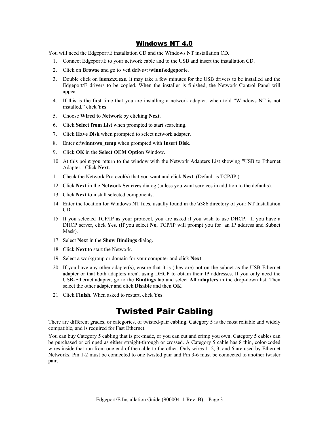#### Windows NT 4.0

You will need the Edgeport/E installation CD and the Windows NT installation CD.

- 1. Connect Edgeport/E to your network cable and to the USB and insert the installation CD.
- 2. Click on **Browse** and go to **<cd drive>:\winnt\edgeporte**.
- 3. Double click on **iuen***xxx***.exe**. It may take a few minutes for the USB drivers to be installed and the Edgeport/E drivers to be copied. When the installer is finished, the Network Control Panel will appear.
- 4. If this is the first time that you are installing a network adapter, when told "Windows NT is not installed," click **Yes**.
- 5. Choose **Wired to Network** by clicking **Next**.
- 6. Click **Select from List** when prompted to start searching.
- 7. Click **Have Disk** when prompted to select network adapter.
- 8. Enter **c:\winnt\ws\_temp** when prompted with **Insert Disk**.
- 9. Click **OK** in the **Select OEM Option** Window.
- 10. At this point you return to the window with the Network Adapters List showing "USB to Ethernet Adapter." Click **Next**.
- 11. Check the Network Protocol(s) that you want and click **Next**. (Default is TCP/IP.)
- 12. Click **Next** in the **Network Services** dialog (unless you want services in addition to the defaults).
- 13. Click **Next** to install selected components.
- 14. Enter the location for Windows NT files, usually found in the \i386 directory of your NT Installation CD.
- 15. If you selected TCP/IP as your protocol, you are asked if you wish to use DHCP. If you have a DHCP server, click **Yes**. (If you select **No**, TCP/IP will prompt you for an IP address and Subnet Mask).
- 17. Select **Next** in the **Show Bindings** dialog.
- 18. Click **Next** to start the Network.
- 19. Select a workgroup or domain for your computer and click **Next**.
- 20. If you have any other adapter(s), ensure that it is (they are) not on the subnet as the USB-Ethernet adapter or that both adapters aren't using DHCP to obtain their IP addresses. If you only need the USB-Ethernet adapter, go to the **Bindings** tab and select **All adapters** in the drop-down list. Then select the other adapter and click **Disable** and then **OK**.
- 21. Click **Finish.** When asked to restart, click **Yes**.

### Twisted Pair Cabling

There are different grades, or categories, of twisted-pair cabling. Category 5 is the most reliable and widely compatible, and is required for Fast Ethernet.

You can buy Category 5 cabling that is pre-made, or you can cut and crimp you own. Category 5 cables can be purchased or crimped as either straight-through or crossed. A Category 5 cable has 8 thin, color-coded wires inside that run from one end of the cable to the other. Only wires 1, 2, 3, and 6 are used by Ethernet Networks. Pin 1-2 must be connected to one twisted pair and Pin 3-6 must be connected to another twister pair.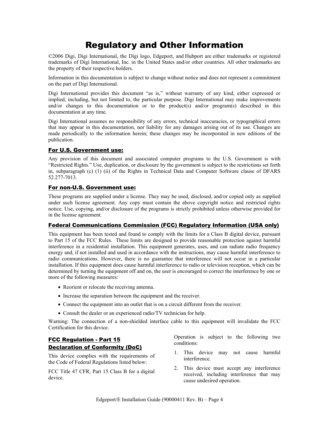## Regulatory and Other Information

©2006 Digi, Digi International, the Digi logo, Edgeport, and Hubport are either trademarks or registered trademarks of Digi International, Inc. in the United States and/or other countries. All other trademarks are the property of their respective holders.

Information in this documentation is subject to change without notice and does not represent a commitment on the part of Digi International.

Digi International provides this document "as is," without warranty of any kind, either expressed or implied, including, but not limited to, the particular purpose. Digi International may make improvements and/or changes to this documentation or to the product(s) and/or program(s) described in this documentation at any time.

Digi International assumes no responsibility of any errors, technical inaccuracies, or typographical errors that may appear in this documentation, nor liability for any damages arising out of its use. Changes are made periodically to the information herein; these changes may be incorporated in new editions of the publication.

#### For U.S. Government use:

Any provision of this document and associated computer programs to the U.S. Government is with "Restricted Rights." Use, duplication, or disclosure by the government is subject to the restrictions set forth in, subparagraph (c) (1) (ii) of the Rights in Technical Data and Computer Software clause of DFARS 52.277-7013.

#### For non-U.S. Government use:

These programs are supplied under a license. They may be used, disclosed, and/or copied only as supplied under such license agreement. Any copy must contain the above copyright notice and restricted rights notice. Use, copying, and/or disclosure of the programs is strictly prohibited unless otherwise provided for in the license agreement.

#### Federal Communications Commission (FCC) Regulatory Information (USA only)

This equipment has been tested and found to comply with the limits for a Class B digital device, pursuant to Part 15 of the FCC Rules. These limits are designed to provide reasonable protection against harmful interference in a residential installation. This equipment generates, uses, and can radiate radio frequency energy and, if not installed and used in accordance with the instructions, may cause harmful interference to radio communications. However, there is no guarantee that interference will not occur in a particular installation. If this equipment does cause harmful interference to radio or television reception, which can be determined by turning the equipment off and on, the user is encouraged to correct the interference by one or more of the following measures:

- Reorient or relocate the receiving antenna.
- Increase the separation between the equipment and the receiver.
- Connect the equipment into an outlet that is on a circuit different from the receiver.
- Consult the dealer or an experienced radio/TV technician for help.

Warning: The connection of a non-shielded interface cable to this equipment will invalidate the FCC Certification for this device.

#### FCC Regulation - Part 15 Declaration of Conformity (DoC)

This device complies with the requirements of the Code of Federal Regulations listed below:

FCC Title 47 CFR, Part 15 Class B for a digital device.

Operation is subject to the following two conditions:

- 1. This device may not cause harmful interference.
- 2. This device must accept any interference received, including interference that may cause undesired operation.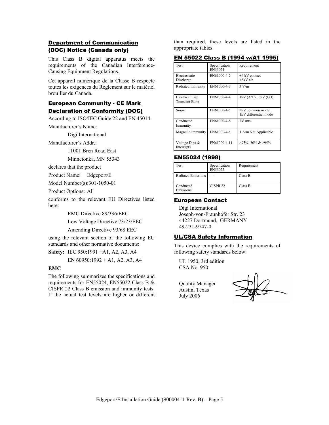#### Department of Communication (DOC) Notice (Canada only)

This Class B digital apparatus meets the requirements of the Canadian Interference-Causing Equipment Regulations.

Cet appareil numérique de la Classe B respecte toutes les exigences du Règlement sur le matériel brouiller du Canada.

#### **European Community - CE Mark** Declaration of Conformity (DOC)

According to ISO/IEC Guide 22 and EN 45014

Manufacturer's Name:

Digi International

Manufacturer's Addr.:

11001 Bren Road East

Minnetonka, MN 55343

declares that the product

Product Name: Edgeport/E

Model Number(s):301-1050-01

Product Options: All

conforms to the relevant EU Directives listed here:

EMC Directive 89/336/EEC

Low Voltage Directive 73/23/EEC

Amending Directive 93/68 EEC

using the relevant section of the following EU standards and other normative documents:

**Safety:** IEC 950:1991 +A1, A2, A3, A4

EN 60950:1992 + A1, A2, A3, A4

#### **EMC**

The following summarizes the specifications and requirements for EN55024, EN55022 Class B & CISPR 22 Class B emission and immunity tests. If the actual test levels are higher or different

than required, these levels are listed in the appropriate tables.

#### EN 55022 Class B (1994 w/A1 1995)

| <b>Test</b>                                      | Specification<br>EN55024 | Requirement                              |
|--------------------------------------------------|--------------------------|------------------------------------------|
| Electrostatic<br>Discharge                       | EN61000-4-2              | $+4$ kV contact<br>$+8kV$ air            |
| Radiated Immunity                                | EN61000-4-3              | 3 V/m                                    |
| <b>Electrical Fast</b><br><b>Transient Burst</b> | EN61000-4-4              | $1kV (A/C)$ , .5kV (I/O)                 |
| Surge                                            | EN61000-4-5              | 2kV common mode<br>1kV differential mode |
| Conducted<br>Immunity                            | EN61000-4-6              | 3V rms                                   |
| Magnetic Immunity                                | EN61000-4-8              | 1 A/m Not Applicable                     |
| Voltage Dips &<br>Interrupts                     | EN61000-4-11             | $>95\%$ , 30% & $>95\%$                  |

#### EN55024 (1998)

| Test                      | Specification<br>EN55022 | Requirement |
|---------------------------|--------------------------|-------------|
| <b>Radiated Emissions</b> |                          | Class B     |
| Conducted<br>Emissions    | CISPR <sub>22</sub>      | Class B     |

#### European Contact

Digi International Joseph-von-Fraunhofer Str. 23 44227 Dortmund, GERMANY 49-231-9747-0

#### UL/CSA Safety Information

This device complies with the requirements of following safety standards below:

UL 1950, 3rd edition CSA No. 950

Quality Manager Austin, Texas July 2006